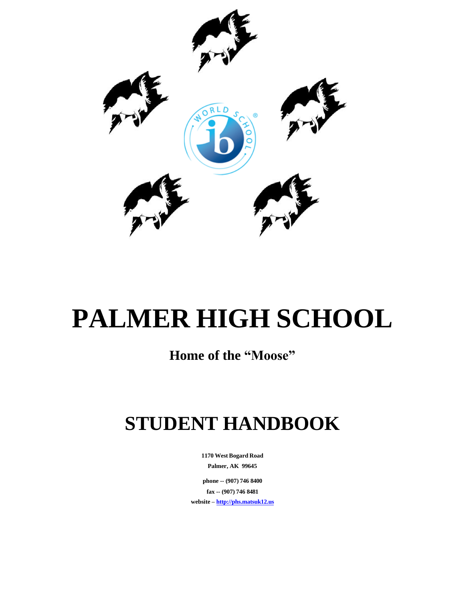

# **PALMER HIGH SCHOOL**

**Home of the "Moose"**

## **STUDENT HANDBOOK**

**1170 West Bogard Road Palmer, AK 99645**

**phone -- (907) 746 8400 fax -- (907) 746 8481 website – [http://phs.matsuk12.us](http://phs.matsuk12.us/)**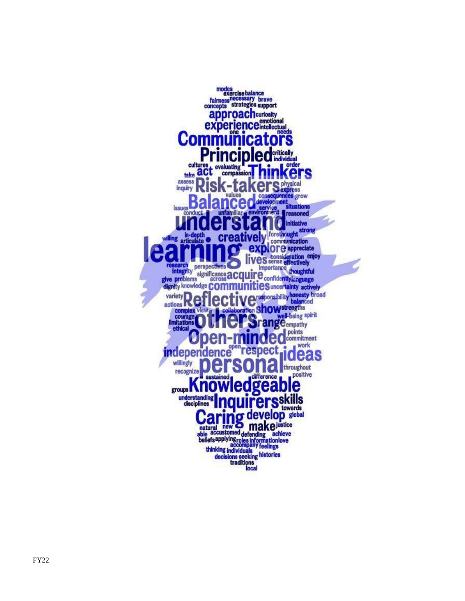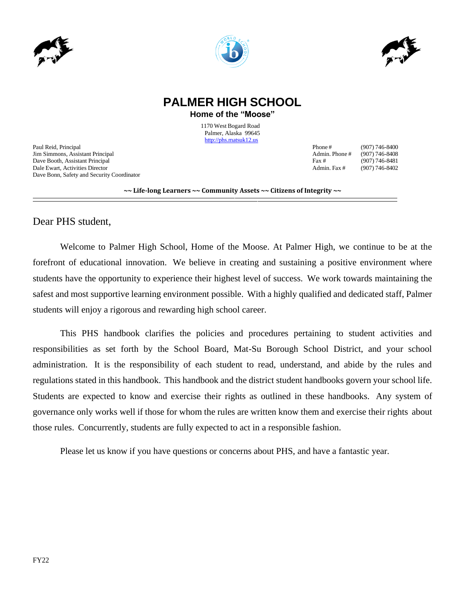





**PALMER HIGH SCHOOL Home of the "Moose"**

> 1170 West Bogard Road Palmer, Alaska 99645 [http://phs.matsuk12.us](http://phs.matsuk12.us/)

Paul Reid, Principal **Phone #** (907) 746-8400<br>
Find Simmons, Assistant Principal **Phone 2008**<br>
Phone # (907) 746-8408 Jim Simmons, Assistant Principal and Admin. Phone # (907) 746-8408<br>
Dave Booth, Assistant Principal and Admin. Phone # (907) 746-8481 Dave Booth, Assistant Principal Dale Ewart, Activities Director Admin. Fax # (907) 746-8402 Dave Bonn, Safety and Security Coordinator

**~~ Life-long Learners ~~ Community Assets ~~ Citizens of Integrity ~~**

Dear PHS student,

Welcome to Palmer High School, Home of the Moose. At Palmer High, we continue to be at the forefront of educational innovation. We believe in creating and sustaining a positive environment where students have the opportunity to experience their highest level of success. We work towards maintaining the safest and most supportive learning environment possible. With a highly qualified and dedicated staff, Palmer students will enjoy a rigorous and rewarding high school career.

This PHS handbook clarifies the policies and procedures pertaining to student activities and responsibilities as set forth by the School Board, Mat-Su Borough School District, and your school administration. It is the responsibility of each student to read, understand, and abide by the rules and regulations stated in this handbook. This handbook and the district student handbooks govern your school life. Students are expected to know and exercise their rights as outlined in these handbooks. Any system of governance only works well if those for whom the rules are written know them and exercise their rights about those rules. Concurrently, students are fully expected to act in a responsible fashion.

Please let us know if you have questions or concerns about PHS, and have a fantastic year.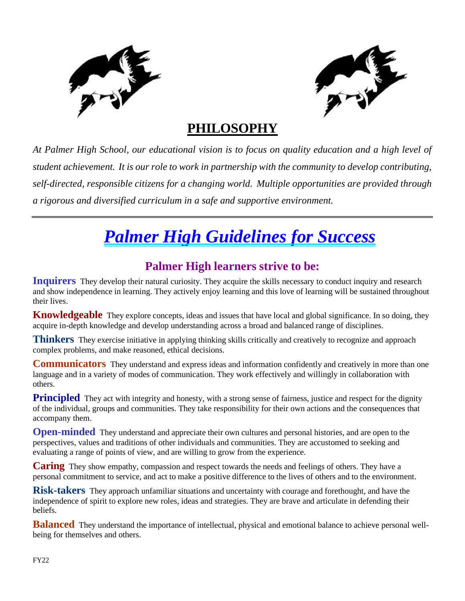



## **PHILOSOPHY**

*At Palmer High School, our educational vision is to focus on quality education and a high level of student achievement. It is our role to work in partnership with the community to develop contributing, self-directed, responsible citizens for a changing world. Multiple opportunities are provided through a rigorous and diversified curriculum in a safe and supportive environment.*

## *Palmer High Guidelines for Success*

## **Palmer High learners strive to be:**

**Inquirers** They develop their natural curiosity. They acquire the skills necessary to conduct inquiry and research and show independence in learning. They actively enjoy learning and this love of learning will be sustained throughout their lives.

**Knowledgeable** They explore concepts, ideas and issues that have local and global significance. In so doing, they acquire in-depth knowledge and develop understanding across a broad and balanced range of disciplines.

**Thinkers** They exercise initiative in applying thinking skills critically and creatively to recognize and approach complex problems, and make reasoned, ethical decisions.

**Communicators** They understand and express ideas and information confidently and creatively in more than one language and in a variety of modes of communication. They work effectively and willingly in collaboration with others.

**Principled** They act with integrity and honesty, with a strong sense of fairness, justice and respect for the dignity of the individual, groups and communities. They take responsibility for their own actions and the consequences that accompany them.

**Open-minded** They understand and appreciate their own cultures and personal histories, and are open to the perspectives, values and traditions of other individuals and communities. They are accustomed to seeking and evaluating a range of points of view, and are willing to grow from the experience.

**Caring** They show empathy, compassion and respect towards the needs and feelings of others. They have a personal commitment to service, and act to make a positive difference to the lives of others and to the environment.

**Risk-takers** They approach unfamiliar situations and uncertainty with courage and forethought, and have the independence of spirit to explore new roles, ideas and strategies. They are brave and articulate in defending their beliefs.

**Balanced** They understand the importance of intellectual, physical and emotional balance to achieve personal wellbeing for themselves and others.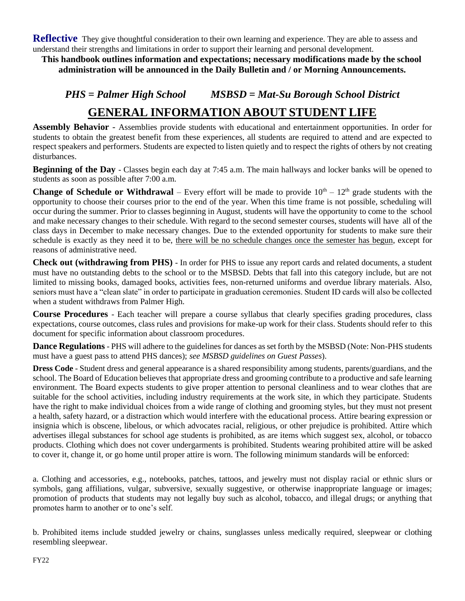**Reflective** They give thoughtful consideration to their own learning and experience. They are able to assess and understand their strengths and limitations in order to support their learning and personal development.

**This handbook outlines information and expectations; necessary modifications made by the school administration will be announced in the Daily Bulletin and / or Morning Announcements.**

## *PHS = Palmer High School MSBSD = Mat-Su Borough School District*

## **GENERAL INFORMATION ABOUT STUDENT LIFE**

**Assembly Behavior** - Assemblies provide students with educational and entertainment opportunities. In order for students to obtain the greatest benefit from these experiences, all students are required to attend and are expected to respect speakers and performers. Students are expected to listen quietly and to respect the rights of others by not creating disturbances.

**Beginning of the Day** - Classes begin each day at 7:45 a.m. The main hallways and locker banks will be opened to students as soon as possible after 7:00 a.m.

**Change of Schedule or Withdrawal** – Every effort will be made to provide  $10<sup>th</sup> - 12<sup>th</sup>$  grade students with the opportunity to choose their courses prior to the end of the year. When this time frame is not possible, scheduling will occur during the summer. Prior to classes beginning in August, students will have the opportunity to come to the school and make necessary changes to their schedule. With regard to the second semester courses, students will have all of the class days in December to make necessary changes. Due to the extended opportunity for students to make sure their schedule is exactly as they need it to be, there will be no schedule changes once the semester has begun, except for reasons of administrative need.

**Check out (withdrawing from PHS)** - In order for PHS to issue any report cards and related documents, a student must have no outstanding debts to the school or to the MSBSD. Debts that fall into this category include, but are not limited to missing books, damaged books, activities fees, non-returned uniforms and overdue library materials. Also, seniors must have a "clean slate" in order to participate in graduation ceremonies. Student ID cards will also be collected when a student withdraws from Palmer High.

**Course Procedures** - Each teacher will prepare a course syllabus that clearly specifies grading procedures, class expectations, course outcomes, class rules and provisions for make-up work for their class. Students should refer to this document for specific information about classroom procedures.

**Dance Regulations** - PHS will adhere to the guidelines for dances as set forth by the MSBSD (Note: Non-PHS students must have a guest pass to attend PHS dances); *see MSBSD guidelines on Guest Passes*).

**Dress Code** - Student dress and general appearance is a shared responsibility among students, parents/guardians, and the school. The Board of Education believes that appropriate dress and grooming contribute to a productive and safe learning environment. The Board expects students to give proper attention to personal cleanliness and to wear clothes that are suitable for the school activities, including industry requirements at the work site, in which they participate. Students have the right to make individual choices from a wide range of clothing and grooming styles, but they must not present a health, safety hazard, or a distraction which would interfere with the educational process. Attire bearing expression or insignia which is obscene, libelous, or which advocates racial, religious, or other prejudice is prohibited. Attire which advertises illegal substances for school age students is prohibited, as are items which suggest sex, alcohol, or tobacco products. Clothing which does not cover undergarments is prohibited. Students wearing prohibited attire will be asked to cover it, change it, or go home until proper attire is worn. The following minimum standards will be enforced:

a. Clothing and accessories, e.g., notebooks, patches, tattoos, and jewelry must not display racial or ethnic slurs or symbols, gang affiliations, vulgar, subversive, sexually suggestive, or otherwise inappropriate language or images; promotion of products that students may not legally buy such as alcohol, tobacco, and illegal drugs; or anything that promotes harm to another or to one's self.

b. Prohibited items include studded jewelry or chains, sunglasses unless medically required, sleepwear or clothing resembling sleepwear.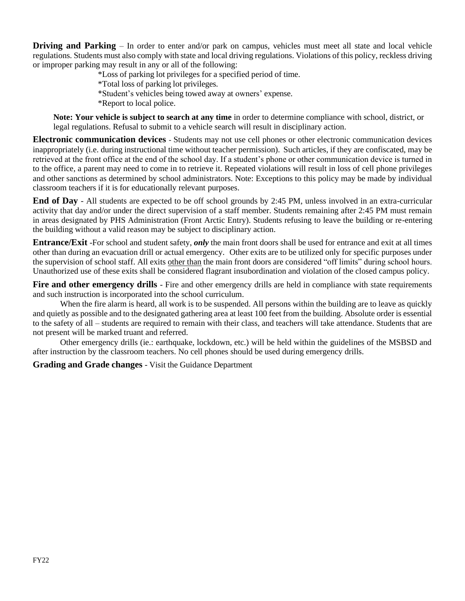**Driving and Parking** – In order to enter and/or park on campus, vehicles must meet all state and local vehicle regulations. Students must also comply with state and local driving regulations. Violations of this policy, reckless driving or improper parking may result in any or all of the following:

\*Loss of parking lot privileges for a specified period of time.

\*Total loss of parking lot privileges.

\*Student's vehicles being towed away at owners' expense.

\*Report to local police.

**Note: Your vehicle is subject to search at any time** in order to determine compliance with school, district, or legal regulations. Refusal to submit to a vehicle search will result in disciplinary action.

**Electronic communication devices** - Students may not use cell phones or other electronic communication devices inappropriately (i.e. during instructional time without teacher permission). Such articles, if they are confiscated, may be retrieved at the front office at the end of the school day. If a student's phone or other communication device is turned in to the office, a parent may need to come in to retrieve it. Repeated violations will result in loss of cell phone privileges and other sanctions as determined by school administrators. Note: Exceptions to this policy may be made by individual classroom teachers if it is for educationally relevant purposes.

**End of Day** - All students are expected to be off school grounds by 2:45 PM, unless involved in an extra-curricular activity that day and/or under the direct supervision of a staff member. Students remaining after 2:45 PM must remain in areas designated by PHS Administration (Front Arctic Entry). Students refusing to leave the building or re-entering the building without a valid reason may be subject to disciplinary action.

**Entrance/Exit** -For school and student safety, *only* the main front doors shall be used for entrance and exit at all times other than during an evacuation drill or actual emergency. Other exits are to be utilized only for specific purposes under the supervision of school staff. All exits other than the main front doors are considered "off limits" during school hours. Unauthorized use of these exits shall be considered flagrant insubordination and violation of the closed campus policy.

**Fire and other emergency drills** - Fire and other emergency drills are held in compliance with state requirements and such instruction is incorporated into the school curriculum.

When the fire alarm is heard, all work is to be suspended. All persons within the building are to leave as quickly and quietly as possible and to the designated gathering area at least 100 feet from the building. Absolute order is essential to the safety of all – students are required to remain with their class, and teachers will take attendance. Students that are not present will be marked truant and referred.

Other emergency drills (ie.: earthquake, lockdown, etc.) will be held within the guidelines of the MSBSD and after instruction by the classroom teachers. No cell phones should be used during emergency drills.

**Grading and Grade changes** - Visit the Guidance Department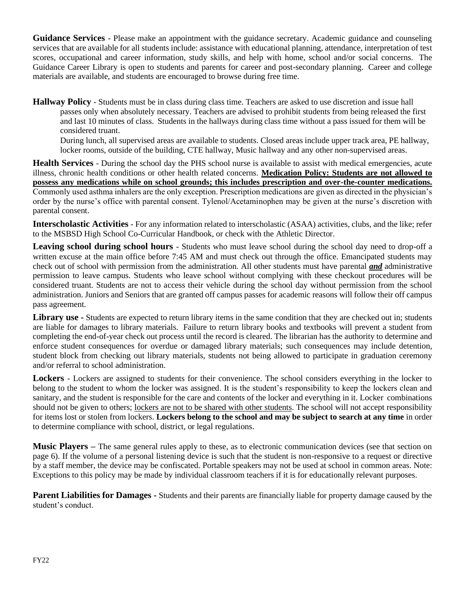**Guidance Services** - Please make an appointment with the guidance secretary. Academic guidance and counseling services that are available for all students include: assistance with educational planning, attendance, interpretation of test scores, occupational and career information, study skills, and help with home, school and/or social concerns. The Guidance Career Library is open to students and parents for career and post-secondary planning. Career and college materials are available, and students are encouraged to browse during free time.

**Hallway Policy** - Students must be in class during class time. Teachers are asked to use discretion and issue hall passes only when absolutely necessary. Teachers are advised to prohibit students from being released the first and last 10 minutes of class. Students in the hallways during class time without a pass issued for them will be considered truant.

During lunch, all supervised areas are available to students. Closed areas include upper track area, PE hallway, locker rooms, outside of the building, CTE hallway, Music hallway and any other non-supervised areas.

**Health Services** - During the school day the PHS school nurse is available to assist with medical emergencies, acute illness, chronic health conditions or other health related concerns. **Medication Policy: Students are not allowed to possess any medications while on school grounds; this includes prescription and over-the-counter medications.** Commonly used asthma inhalers are the only exception. Prescription medications are given as directed in the physician's order by the nurse's office with parental consent. Tylenol/Acetaminophen may be given at the nurse's discretion with parental consent.

**Interscholastic Activities** - For any information related to interscholastic (ASAA) activities, clubs, and the like; refer to the MSBSD High School Co-Curricular Handbook, or check with the Athletic Director.

**Leaving school during school hours** - Students who must leave school during the school day need to drop-off a written excuse at the main office before 7:45 AM and must check out through the office. Emancipated students may check out of school with permission from the administration. All other students must have parental *and* administrative permission to leave campus. Students who leave school without complying with these checkout procedures will be considered truant. Students are not to access their vehicle during the school day without permission from the school administration. Juniors and Seniors that are granted off campus passes for academic reasons will follow their off campus pass agreement.

**Library use -** Students are expected to return library items in the same condition that they are checked out in; students are liable for damages to library materials. Failure to return library books and textbooks will prevent a student from completing the end-of-year check out process until the record is cleared. The librarian has the authority to determine and enforce student consequences for overdue or damaged library materials; such consequences may include detention, student block from checking out library materials, students not being allowed to participate in graduation ceremony and/or referral to school administration.

**Lockers** - Lockers are assigned to students for their convenience. The school considers everything in the locker to belong to the student to whom the locker was assigned. It is the student's responsibility to keep the lockers clean and sanitary, and the student is responsible for the care and contents of the locker and everything in it. Locker combinations should not be given to others; lockers are not to be shared with other students. The school will not accept responsibility for items lost or stolen from lockers. **Lockers belong to the school and may be subject to search at any time** in order to determine compliance with school, district, or legal regulations.

**Music Players –** The same general rules apply to these, as to electronic communication devices (see that section on page 6). If the volume of a personal listening device is such that the student is non-responsive to a request or directive by a staff member, the device may be confiscated. Portable speakers may not be used at school in common areas. Note: Exceptions to this policy may be made by individual classroom teachers if it is for educationally relevant purposes.

**Parent Liabilities for Damages -** Students and their parents are financially liable for property damage caused by the student's conduct.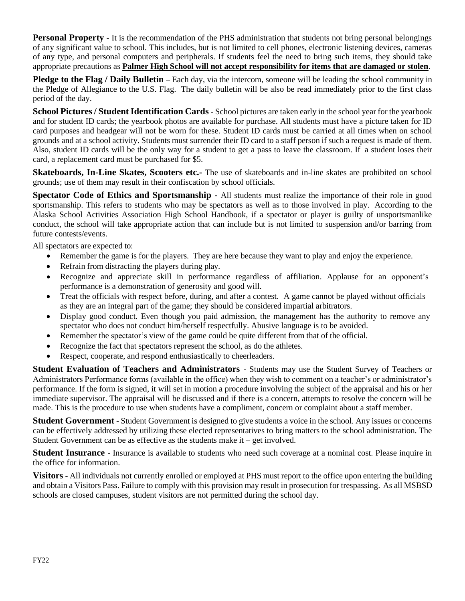**Personal Property** - It is the recommendation of the PHS administration that students not bring personal belongings of any significant value to school. This includes, but is not limited to cell phones, electronic listening devices, cameras of any type, and personal computers and peripherals. If students feel the need to bring such items, they should take appropriate precautions as **Palmer High School will not accept responsibility for items that are damaged or stolen**.

**Pledge to the Flag / Daily Bulletin** – Each day, via the intercom, someone will be leading the school community in the Pledge of Allegiance to the U.S. Flag. The daily bulletin will be also be read immediately prior to the first class period of the day.

**School Pictures / Student Identification Cards** - School pictures are taken early in the school year for the yearbook and for student ID cards; the yearbook photos are available for purchase. All students must have a picture taken for ID card purposes and headgear will not be worn for these. Student ID cards must be carried at all times when on school grounds and at a school activity. Students must surrender their ID card to a staff person if such a request is made of them. Also, student ID cards will be the only way for a student to get a pass to leave the classroom. If a student loses their card, a replacement card must be purchased for \$5.

**Skateboards, In-Line Skates, Scooters etc.-** The use of skateboards and in-line skates are prohibited on school grounds; use of them may result in their confiscation by school officials.

**Spectator Code of Ethics and Sportsmanship -** All students must realize the importance of their role in good sportsmanship. This refers to students who may be spectators as well as to those involved in play. According to the Alaska School Activities Association High School Handbook, if a spectator or player is guilty of unsportsmanlike conduct, the school will take appropriate action that can include but is not limited to suspension and/or barring from future contests/events.

All spectators are expected to:

- Remember the game is for the players. They are here because they want to play and enjoy the experience.
- Refrain from distracting the players during play.
- Recognize and appreciate skill in performance regardless of affiliation. Applause for an opponent's performance is a demonstration of generosity and good will.
- Treat the officials with respect before, during, and after a contest. A game cannot be played without officials as they are an integral part of the game; they should be considered impartial arbitrators.
- Display good conduct. Even though you paid admission, the management has the authority to remove any spectator who does not conduct him/herself respectfully. Abusive language is to be avoided.
- Remember the spectator's view of the game could be quite different from that of the official.
- Recognize the fact that spectators represent the school, as do the athletes.
- Respect, cooperate, and respond enthusiastically to cheerleaders.

**Student Evaluation of Teachers and Administrators** - Students may use the Student Survey of Teachers or Administrators Performance forms (available in the office) when they wish to comment on a teacher's or administrator's performance. If the form is signed, it will set in motion a procedure involving the subject of the appraisal and his or her immediate supervisor. The appraisal will be discussed and if there is a concern, attempts to resolve the concern will be made. This is the procedure to use when students have a compliment, concern or complaint about a staff member.

**Student Government** - Student Government is designed to give students a voice in the school. Any issues or concerns can be effectively addressed by utilizing these elected representatives to bring matters to the school administration. The Student Government can be as effective as the students make it – get involved.

**Student Insurance** - Insurance is available to students who need such coverage at a nominal cost. Please inquire in the office for information.

**Visitors** - All individuals not currently enrolled or employed at PHS must report to the office upon entering the building and obtain a Visitors Pass. Failure to comply with this provision may result in prosecution for trespassing. As all MSBSD schools are closed campuses, student visitors are not permitted during the school day.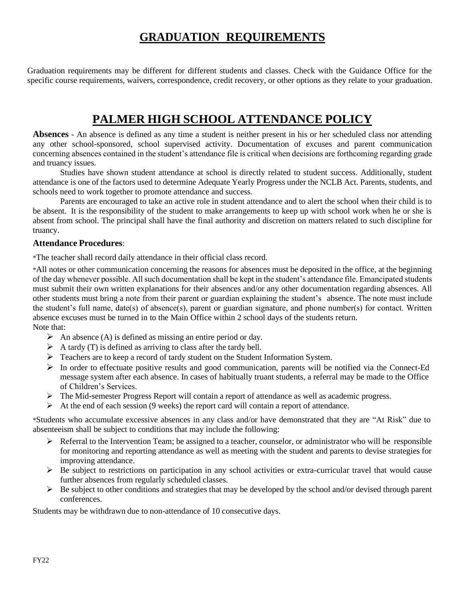## **GRADUATION REQUIREMENTS**

Graduation requirements may be different for different students and classes. Check with the Guidance Office for the specific course requirements, waivers, correspondence, credit recovery, or other options as they relate to your graduation.

## **PALMER HIGH SCHOOL ATTENDANCE POLICY**

**Absences** - An absence is defined as any time a student is neither present in his or her scheduled class nor attending any other school-sponsored, school supervised activity. Documentation of excuses and parent communication concerning absences contained in the student's attendance file is critical when decisions are forthcoming regarding grade and truancy issues.

Studies have shown student attendance at school is directly related to student success. Additionally, student attendance is one of the factors used to determine Adequate Yearly Progress under the NCLB Act. Parents, students, and schools need to work together to promote attendance and success.

Parents are encouraged to take an active role in student attendance and to alert the school when their child is to be absent. It is the responsibility of the student to make arrangements to keep up with school work when he or she is absent from school. The principal shall have the final authority and discretion on matters related to such discipline for truancy.

#### **Attendance Procedures**:

\*The teacher shall record daily attendance in their official class record.

\*All notes or other communication concerning the reasons for absences must be deposited in the office, at the beginning of the day whenever possible. All such documentation shall be kept in the student's attendance file. Emancipated students must submit their own written explanations for their absences and/or any other documentation regarding absences. All other students must bring a note from their parent or guardian explaining the student's absence. The note must include the student's full name, date(s) of absence(s), parent or guardian signature, and phone number(s) for contact. Written absence excuses must be turned in to the Main Office within 2 school days of the students return. Note that:

- $\triangleright$  An absence (A) is defined as missing an entire period or day.
- $\triangleright$  A tardy (T) is defined as arriving to class after the tardy bell.
- ➢ Teachers are to keep a record of tardy student on the Student Information System.
- ➢ In order to effectuate positive results and good communication, parents will be notified via the Connect-Ed message system after each absence. In cases of habitually truant students, a referral may be made to the Office of Children's Services.
- ➢ The Mid-semester Progress Report will contain a report of attendance as well as academic progress.
- ➢ At the end of each session (9 weeks) the report card will contain a report of attendance.

\*Students who accumulate excessive absences in any class and/or have demonstrated that they are "At Risk" due to absenteeism shall be subject to conditions that may include the following:

- $\triangleright$  Referral to the Intervention Team; be assigned to a teacher, counselor, or administrator who will be responsible for monitoring and reporting attendance as well as meeting with the student and parents to devise strategies for improving attendance.
- $\triangleright$  Be subject to restrictions on participation in any school activities or extra-curricular travel that would cause further absences from regularly scheduled classes.
- $\triangleright$  Be subject to other conditions and strategies that may be developed by the school and/or devised through parent conferences.

Students may be withdrawn due to non-attendance of 10 consecutive days.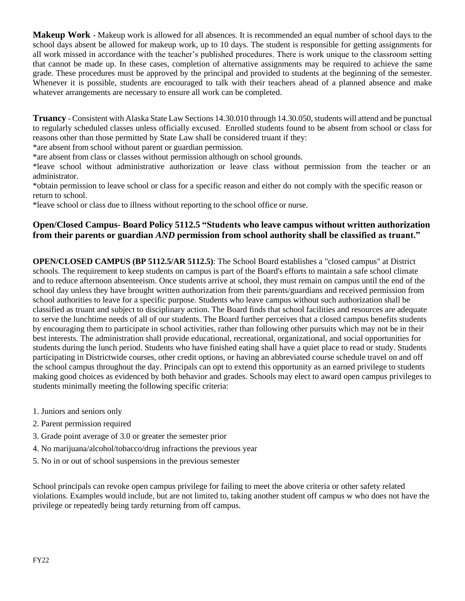**Makeup Work** - Makeup work is allowed for all absences. It is recommended an equal number of school days to the school days absent be allowed for makeup work, up to 10 days. The student is responsible for getting assignments for all work missed in accordance with the teacher's published procedures. There is work unique to the classroom setting that cannot be made up. In these cases, completion of alternative assignments may be required to achieve the same grade. These procedures must be approved by the principal and provided to students at the beginning of the semester. Whenever it is possible, students are encouraged to talk with their teachers ahead of a planned absence and make whatever arrangements are necessary to ensure all work can be completed.

**Truancy** - Consistent with Alaska State Law Sections 14.30.010 through 14.30.050, students will attend and be punctual to regularly scheduled classes unless officially excused. Enrolled students found to be absent from school or class for reasons other than those permitted by State Law shall be considered truant if they:

\*are absent from school without parent or guardian permission.

\*are absent from class or classes without permission although on school grounds.

\*leave school without administrative authorization or leave class without permission from the teacher or an administrator.

\*obtain permission to leave school or class for a specific reason and either do not comply with the specific reason or return to school.

\*leave school or class due to illness without reporting to the school office or nurse.

#### **Open/Closed Campus- Board Policy 5112.5 "Students who leave campus without written authorization from their parents or guardian** *AND* **permission from school authority shall be classified as truant."**

**OPEN/CLOSED CAMPUS (BP 5112.5/AR 5112.5)**: The School Board establishes a "closed campus" at District schools. The requirement to keep students on campus is part of the Board's efforts to maintain a safe school climate and to reduce afternoon absenteeism. Once students arrive at school, they must remain on campus until the end of the school day unless they have brought written authorization from their parents/guardians and received permission from school authorities to leave for a specific purpose. Students who leave campus without such authorization shall be classified as truant and subject to disciplinary action. The Board finds that school facilities and resources are adequate to serve the lunchtime needs of all of our students. The Board further perceives that a closed campus benefits students by encouraging them to participate in school activities, rather than following other pursuits which may not be in their best interests. The administration shall provide educational, recreational, organizational, and social opportunities for students during the lunch period. Students who have finished eating shall have a quiet place to read or study. Students participating in Districtwide courses, other credit options, or having an abbreviated course schedule travel on and off the school campus throughout the day. Principals can opt to extend this opportunity as an earned privilege to students making good choices as evidenced by both behavior and grades. Schools may elect to award open campus privileges to students minimally meeting the following specific criteria:

- 1. Juniors and seniors only
- 2. Parent permission required
- 3. Grade point average of 3.0 or greater the semester prior
- 4. No marijuana/alcohol/tobacco/drug infractions the previous year
- 5. No in or out of school suspensions in the previous semester

School principals can revoke open campus privilege for failing to meet the above criteria or other safety related violations. Examples would include, but are not limited to, taking another student off campus w who does not have the privilege or repeatedly being tardy returning from off campus.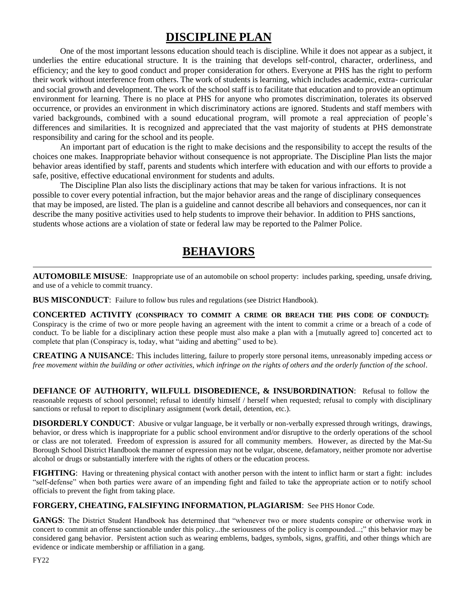## **DISCIPLINE PLAN**

One of the most important lessons education should teach is discipline. While it does not appear as a subject, it underlies the entire educational structure. It is the training that develops self-control, character, orderliness, and efficiency; and the key to good conduct and proper consideration for others. Everyone at PHS has the right to perform their work without interference from others. The work of students is learning, which includes academic, extra- curricular and social growth and development. The work of the school staff is to facilitate that education and to provide an optimum environment for learning. There is no place at PHS for anyone who promotes discrimination, tolerates its observed occurrence, or provides an environment in which discriminatory actions are ignored. Students and staff members with varied backgrounds, combined with a sound educational program, will promote a real appreciation of people's differences and similarities. It is recognized and appreciated that the vast majority of students at PHS demonstrate responsibility and caring for the school and its people.

An important part of education is the right to make decisions and the responsibility to accept the results of the choices one makes. Inappropriate behavior without consequence is not appropriate. The Discipline Plan lists the major behavior areas identified by staff, parents and students which interfere with education and with our efforts to provide a safe, positive, effective educational environment for students and adults.

The Discipline Plan also lists the disciplinary actions that may be taken for various infractions. It is not possible to cover every potential infraction, but the major behavior areas and the range of disciplinary consequences that may be imposed, are listed. The plan is a guideline and cannot describe all behaviors and consequences, nor can it describe the many positive activities used to help students to improve their behavior. In addition to PHS sanctions, students whose actions are a violation of state or federal law may be reported to the Palmer Police.

## **BEHAVIORS**

**AUTOMOBILE MISUSE**: Inappropriate use of an automobile on school property: includes parking, speeding, unsafe driving, and use of a vehicle to commit truancy.

**BUS MISCONDUCT**: Failure to follow bus rules and regulations (see District Handbook).

**CONCERTED ACTIVITY (CONSPIRACY TO COMMIT A CRIME OR BREACH THE PHS CODE OF CONDUCT):** Conspiracy is the crime of two or more people having an agreement with the intent to commit a crime or a breach of a code of conduct. To be liable for a disciplinary action these people must also make a plan with a [mutually agreed to] concerted act to complete that plan (Conspiracy is, today, what "aiding and abetting" used to be).

**CREATING A NUISANCE**: This includes littering, failure to properly store personal items, unreasonably impeding access o*r free movement within the building or other activities, which infringe on the rights of others and the orderly function of the school*.

**DEFIANCE OF AUTHORITY, WILFULL DISOBEDIENCE, & INSUBORDINATION**: Refusal to follow the reasonable requests of school personnel; refusal to identify himself / herself when requested; refusal to comply with disciplinary sanctions or refusal to report to disciplinary assignment (work detail, detention, etc.).

**DISORDERLY CONDUCT**: Abusive or vulgar language, be it verbally or non-verbally expressed through writings, drawings, behavior, or dress which is inappropriate for a public school environment and/or disruptive to the orderly operations of the school or class are not tolerated. Freedom of expression is assured for all community members. However, as directed by the Mat-Su Borough School District Handbook the manner of expression may not be vulgar, obscene, defamatory, neither promote nor advertise alcohol or drugs or substantially interfere with the rights of others or the education process.

**FIGHTING**: Having or threatening physical contact with another person with the intent to inflict harm or start a fight: includes "self-defense" when both parties were aware of an impending fight and failed to take the appropriate action or to notify school officials to prevent the fight from taking place.

#### **FORGERY, CHEATING, FALSIFYING INFORMATION, PLAGIARISM**: See PHS Honor Code.

**GANGS**: The District Student Handbook has determined that "whenever two or more students conspire or otherwise work in concert to commit an offense sanctionable under this policy...the seriousness of the policy is compounded...;" this behavior may be considered gang behavior. Persistent action such as wearing emblems, badges, symbols, signs, graffiti, and other things which are evidence or indicate membership or affiliation in a gang.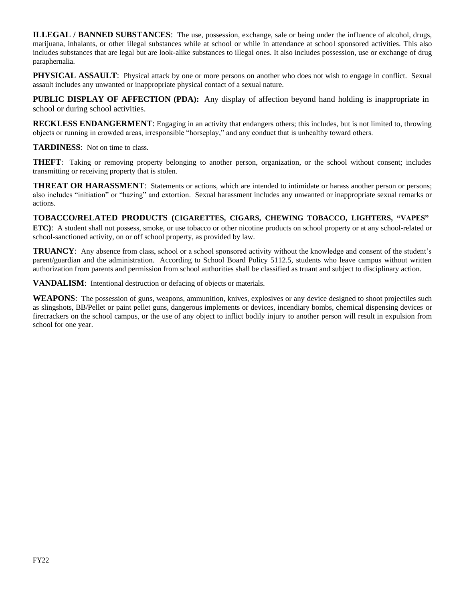**ILLEGAL / BANNED SUBSTANCES**: The use, possession, exchange, sale or being under the influence of alcohol, drugs, marijuana, inhalants, or other illegal substances while at school or while in attendance at school sponsored activities. This also includes substances that are legal but are look-alike substances to illegal ones. It also includes possession, use or exchange of drug paraphernalia.

**PHYSICAL ASSAULT**: Physical attack by one or more persons on another who does not wish to engage in conflict. Sexual assault includes any unwanted or inappropriate physical contact of a sexual nature.

**PUBLIC DISPLAY OF AFFECTION (PDA):** Any display of affection beyond hand holding is inappropriate in school or during school activities.

**RECKLESS ENDANGERMENT**: Engaging in an activity that endangers others; this includes, but is not limited to, throwing objects or running in crowded areas, irresponsible "horseplay," and any conduct that is unhealthy toward others.

**TARDINESS**: Not on time to class.

**THEFT**: Taking or removing property belonging to another person, organization, or the school without consent; includes transmitting or receiving property that is stolen.

**THREAT OR HARASSMENT:** Statements or actions, which are intended to intimidate or harass another person or persons; also includes "initiation" or "hazing" and extortion. Sexual harassment includes any unwanted or inappropriate sexual remarks or actions.

**TOBACCO/RELATED PRODUCTS (CIGARETTES, CIGARS, CHEWING TOBACCO, LIGHTERS, "VAPES"**

**ETC**): A student shall not possess, smoke, or use tobacco or other nicotine products on school property or at any school-related or school-sanctioned activity, on or off school property, as provided by law.

**TRUANCY**: Any absence from class, school or a school sponsored activity without the knowledge and consent of the student's parent/guardian and the administration. According to School Board Policy 5112.5, students who leave campus without written authorization from parents and permission from school authorities shall be classified as truant and subject to disciplinary action.

**VANDALISM**: Intentional destruction or defacing of objects or materials.

**WEAPONS**: The possession of guns, weapons, ammunition, knives, explosives or any device designed to shoot projectiles such as slingshots, BB/Pellet or paint pellet guns, dangerous implements or devices, incendiary bombs, chemical dispensing devices or firecrackers on the school campus, or the use of any object to inflict bodily injury to another person will result in expulsion from school for one year.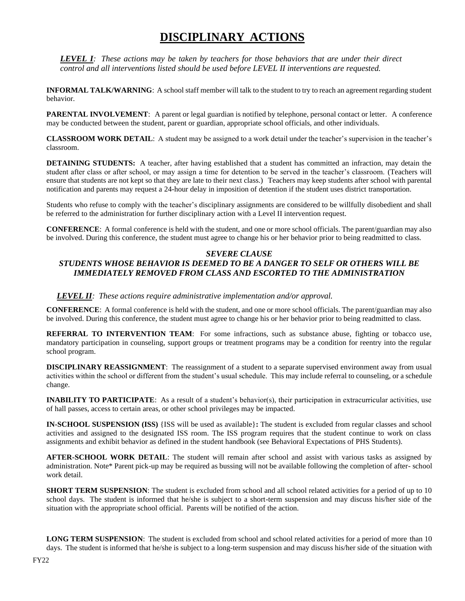## **DISCIPLINARY ACTIONS**

*LEVEL I: These actions may be taken by teachers for those behaviors that are under their direct control and all interventions listed should be used before LEVEL II interventions are requested.*

**INFORMAL TALK/WARNING**: A school staff member will talk to the student to try to reach an agreement regarding student behavior.

**PARENTAL INVOLVEMENT:** A parent or legal guardian is notified by telephone, personal contact or letter. A conference may be conducted between the student, parent or guardian, appropriate school officials, and other individuals.

**CLASSROOM WORK DETAIL**: A student may be assigned to a work detail under the teacher's supervision in the teacher's classroom.

**DETAINING STUDENTS:** A teacher, after having established that a student has committed an infraction, may detain the student after class or after school, or may assign a time for detention to be served in the teacher's classroom. (Teachers will ensure that students are not kept so that they are late to their next class.) Teachers may keep students after school with parental notification and parents may request a 24-hour delay in imposition of detention if the student uses district transportation.

Students who refuse to comply with the teacher's disciplinary assignments are considered to be willfully disobedient and shall be referred to the administration for further disciplinary action with a Level II intervention request.

**CONFERENCE**: A formal conference is held with the student, and one or more school officials. The parent/guardian may also be involved. During this conference, the student must agree to change his or her behavior prior to being readmitted to class.

#### *SEVERE CLAUSE*

#### *STUDENTS WHOSE BEHAVIOR IS DEEMED TO BE A DANGER TO SELF OR OTHERS WILL BE IMMEDIATELY REMOVED FROM CLASS AND ESCORTED TO THE ADMINISTRATION*

#### *LEVEL II: These actions require administrative implementation and/or approval.*

**CONFERENCE**: A formal conference is held with the student, and one or more school officials. The parent/guardian may also be involved. During this conference, the student must agree to change his or her behavior prior to being readmitted to class.

**REFERRAL TO INTERVENTION TEAM**: For some infractions, such as substance abuse, fighting or tobacco use, mandatory participation in counseling, support groups or treatment programs may be a condition for reentry into the regular school program.

**DISCIPLINARY REASSIGNMENT**: The reassignment of a student to a separate supervised environment away from usual activities within the school or different from the student's usual schedule. This may include referral to counseling, or a schedule change.

**INABILITY TO PARTICIPATE**: As a result of a student's behavior(s), their participation in extracurricular activities, use of hall passes, access to certain areas, or other school privileges may be impacted.

**IN-SCHOOL SUSPENSION (ISS)** {ISS will be used as available}**:** The student is excluded from regular classes and school activities and assigned to the designated ISS room. The ISS program requires that the student continue to work on class assignments and exhibit behavior as defined in the student handbook (see Behavioral Expectations of PHS Students).

**AFTER-SCHOOL WORK DETAIL**: The student will remain after school and assist with various tasks as assigned by administration. Note\* Parent pick-up may be required as bussing will not be available following the completion of after- school work detail.

**SHORT TERM SUSPENSION**: The student is excluded from school and all school related activities for a period of up to 10 school days. The student is informed that he/she is subject to a short-term suspension and may discuss his/her side of the situation with the appropriate school official. Parents will be notified of the action.

**LONG TERM SUSPENSION:** The student is excluded from school and school related activities for a period of more than 10 days. The student is informed that he/she is subject to a long-term suspension and may discuss his/her side of the situation with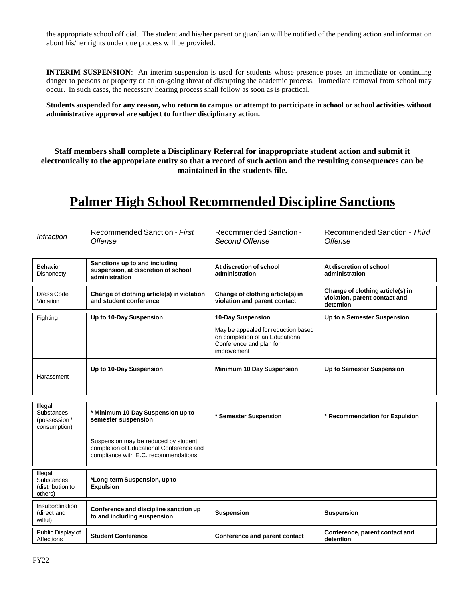the appropriate school official. The student and his/her parent or guardian will be notified of the pending action and information about his/her rights under due process will be provided.

**INTERIM SUSPENSION**: An interim suspension is used for students whose presence poses an immediate or continuing danger to persons or property or an on-going threat of disrupting the academic process. Immediate removal from school may occur. In such cases, the necessary hearing process shall follow as soon as is practical.

**Students suspended for any reason, who return to campus or attempt to participate in school or school activities without administrative approval are subject to further disciplinary action.**

**Staff members shall complete a Disciplinary Referral for inappropriate student action and submit it electronically to the appropriate entity so that a record of such action and the resulting consequences can be maintained in the students file.**

## **Palmer High School Recommended Discipline Sanctions**

| <i><b>Infraction</b></i>                                     | Recommended Sanction - First<br>Offense                                                                                  | Recommended Sanction -<br>Second Offense                                                                         | Recommended Sanction - Third<br>Offense                                        |
|--------------------------------------------------------------|--------------------------------------------------------------------------------------------------------------------------|------------------------------------------------------------------------------------------------------------------|--------------------------------------------------------------------------------|
| Behavior<br>Dishonesty                                       | Sanctions up to and including<br>suspension, at discretion of school<br>administration                                   | At discretion of school<br>administration                                                                        | At discretion of school<br>administration                                      |
| Dress Code<br>Violation                                      | Change of clothing article(s) in violation<br>and student conference                                                     | Change of clothing article(s) in<br>violation and parent contact                                                 | Change of clothing article(s) in<br>violation, parent contact and<br>detention |
| Fighting                                                     | Up to 10-Day Suspension                                                                                                  | 10-Day Suspension                                                                                                | Up to a Semester Suspension                                                    |
|                                                              |                                                                                                                          | May be appealed for reduction based<br>on completion of an Educational<br>Conference and plan for<br>improvement |                                                                                |
| Harassment                                                   | Up to 10-Day Suspension                                                                                                  | Minimum 10 Day Suspension                                                                                        | Up to Semester Suspension                                                      |
|                                                              |                                                                                                                          |                                                                                                                  |                                                                                |
| Illegal<br><b>Substances</b><br>(possession/<br>consumption) | * Minimum 10-Day Suspension up to<br>semester suspension                                                                 | * Semester Suspension                                                                                            | * Recommendation for Expulsion                                                 |
|                                                              | Suspension may be reduced by student<br>completion of Educational Conference and<br>compliance with E.C. recommendations |                                                                                                                  |                                                                                |
| Illegal<br><b>Substances</b><br>(distribution to<br>others)  | *Long-term Suspension, up to<br><b>Expulsion</b>                                                                         |                                                                                                                  |                                                                                |
| Insubordination<br>(direct and<br>wilful)                    | Conference and discipline sanction up<br>to and including suspension                                                     | Suspension                                                                                                       | Suspension                                                                     |
| Public Display of<br>Affections                              | <b>Student Conference</b>                                                                                                | Conference and parent contact                                                                                    | Conference, parent contact and<br>detention                                    |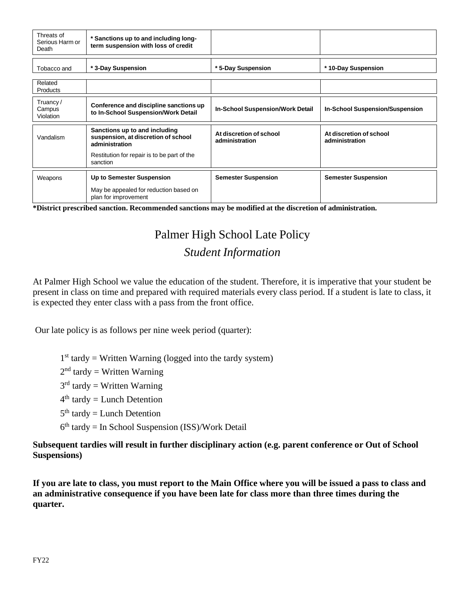| Death<br>Tobacco and          | * 3-Day Suspension                                                           | * 5-Day Suspension | *10-Day Suspension |
|-------------------------------|------------------------------------------------------------------------------|--------------------|--------------------|
| Threats of<br>Serious Harm or | * Sanctions up to and including long-<br>term suspension with loss of credit |                    |                    |

| Related<br>Products             |                                                                                        |                                           |                                           |
|---------------------------------|----------------------------------------------------------------------------------------|-------------------------------------------|-------------------------------------------|
| Truancy/<br>Campus<br>Violation | Conference and discipline sanctions up<br>to In-School Suspension/Work Detail          | <b>In-School Suspension/Work Detail</b>   | <b>In-School Suspension/Suspension</b>    |
| Vandalism                       | Sanctions up to and including<br>suspension, at discretion of school<br>administration | At discretion of school<br>administration | At discretion of school<br>administration |
|                                 | Restitution for repair is to be part of the<br>sanction                                |                                           |                                           |
| Weapons                         | Up to Semester Suspension                                                              | <b>Semester Suspension</b>                | <b>Semester Suspension</b>                |
|                                 | May be appealed for reduction based on<br>plan for improvement                         |                                           |                                           |

**\*District prescribed sanction. Recommended sanctions may be modified at the discretion of administration.**

## Palmer High School Late Policy *Student Information*

At Palmer High School we value the education of the student. Therefore, it is imperative that your student be present in class on time and prepared with required materials every class period. If a student is late to class, it is expected they enter class with a pass from the front office.

Our late policy is as follows per nine week period (quarter):

 $1<sup>st</sup>$  tardy = Written Warning (logged into the tardy system)

 $2<sup>nd</sup>$  tardy = Written Warning

 $3<sup>rd</sup>$  tardy = Written Warning

- $4<sup>th</sup>$  tardy = Lunch Detention
- $5<sup>th</sup>$  tardy = Lunch Detention
- $6<sup>th</sup>$  tardy = In School Suspension (ISS)/Work Detail

**Subsequent tardies will result in further disciplinary action (e.g. parent conference or Out of School Suspensions)**

If you are late to class, you must report to the Main Office where you will be issued a pass to class and **an administrative consequence if you have been late for class more than three times during the quarter.**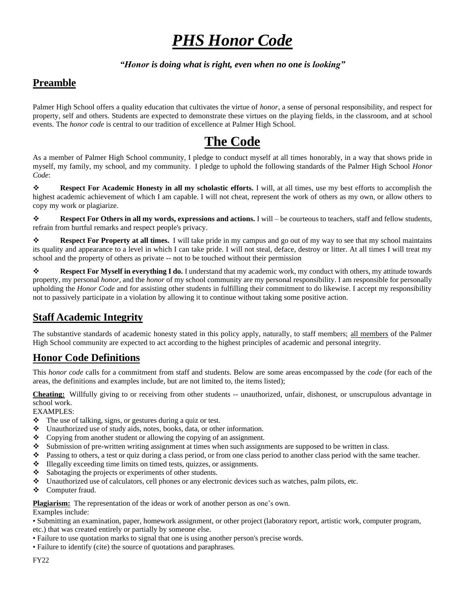## *PHS Honor Code*

#### *"Honor is doing what is right, even when no one is looking"*

### **Preamble**

Palmer High School offers a quality education that cultivates the virtue of *honor*, a sense of personal responsibility, and respect for property, self and others. Students are expected to demonstrate these virtues on the playing fields, in the classroom, and at school events. The *honor code* is central to our tradition of excellence at Palmer High School.

**The Code**

As a member of Palmer High School community, I pledge to conduct myself at all times honorably, in a way that shows pride in myself, my family, my school, and my community. I pledge to uphold the following standards of the Palmer High School *Honor Code*:

❖ **Respect For Academic Honesty in all my scholastic efforts.** I will, at all times, use my best efforts to accomplish the highest academic achievement of which I am capable. I will not cheat, represent the work of others as my own, or allow others to copy my work or plagiarize.

❖ **Respect For Others in all my words, expressions and actions.** I will – be courteous to teachers, staff and fellow students, refrain from hurtful remarks and respect people's privacy.

❖ **Respect For Property at all times.** I will take pride in my campus and go out of my way to see that my school maintains its quality and appearance to a level in which I can take pride. I will not steal, deface, destroy or litter. At all times I will treat my school and the property of others as private -- not to be touched without their permission

❖ **Respect For Myself in everything I do.** I understand that my academic work, my conduct with others, my attitude towards property, my personal *honor*, and the *honor* of my school community are my personal responsibility. I am responsible for personally upholding the *Honor Code* and for assisting other students in fulfilling their commitment to do likewise. I accept my responsibility not to passively participate in a violation by allowing it to continue without taking some positive action.

### **Staff Academic Integrity**

The substantive standards of academic honesty stated in this policy apply, naturally, to staff members; all members of the Palmer High School community are expected to act according to the highest principles of academic and personal integrity.

### **Honor Code Definitions**

This *honor code* calls for a commitment from staff and students. Below are some areas encompassed by the *code* (for each of the areas, the definitions and examples include, but are not limited to, the items listed);

**Cheating:** Willfully giving to or receiving from other students -- unauthorized, unfair, dishonest, or unscrupulous advantage in school work.

EXAMPLES:

- ❖ The use of talking, signs, or gestures during a quiz or test.
- ❖ Unauthorized use of study aids, notes, books, data, or other information.
- ❖ Copying from another student or allowing the copying of an assignment.
- ❖ Submission of pre-written writing assignment at times when such assignments are supposed to be written in class.
- ❖ Passing to others, a test or quiz during a class period, or from one class period to another class period with the same teacher.
- ❖ Illegally exceeding time limits on timed tests, quizzes, or assignments.
- ❖ Sabotaging the projects or experiments of other students.
- ❖ Unauthorized use of calculators, cell phones or any electronic devices such as watches, palm pilots, etc.
- ❖ Computer fraud.

**Plagiarism:** The representation of the ideas or work of another person as one's own.

Examples include:

- Submitting an examination, paper, homework assignment, or other project (laboratory report, artistic work, computer program, etc.) that was created entirely or partially by someone else.
- Failure to use quotation marks to signal that one is using another person's precise words.
- Failure to identify (cite) the source of quotations and paraphrases.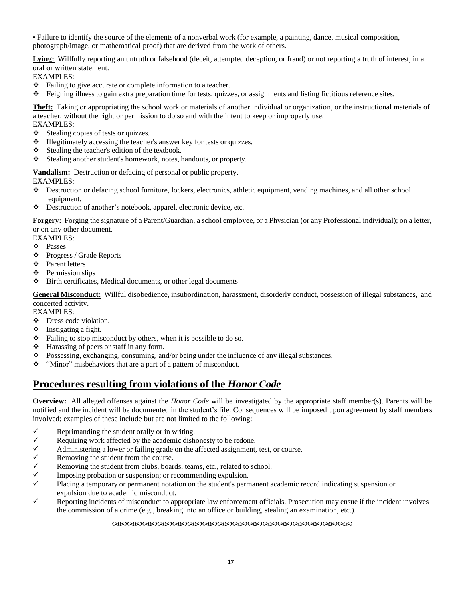• Failure to identify the source of the elements of a nonverbal work (for example, a painting, dance, musical composition, photograph/image, or mathematical proof) that are derived from the work of others.

**Lying:** Willfully reporting an untruth or falsehood (deceit, attempted deception, or fraud) or not reporting a truth of interest, in an oral or written statement.

EXAMPLES:

- ❖ Failing to give accurate or complete information to a teacher.
- $\bullet$  Feigning illness to gain extra preparation time for tests, quizzes, or assignments and listing fictitious reference sites.

**Theft:** Taking or appropriating the school work or materials of another individual or organization, or the instructional materials of a teacher, without the right or permission to do so and with the intent to keep or improperly use. EXAMPLES:

- ❖ Stealing copies of tests or quizzes.
- ❖ Illegitimately accessing the teacher's answer key for tests or quizzes.
- ❖ Stealing the teacher's edition of the textbook.
- ❖ Stealing another student's homework, notes, handouts, or property.

**Vandalism:** Destruction or defacing of personal or public property.

EXAMPLES:

- ❖ Destruction or defacing school furniture, lockers, electronics, athletic equipment, vending machines, and all other school equipment.
- ❖ Destruction of another's notebook, apparel, electronic device, etc.

**Forgery:** Forging the signature of a Parent/Guardian, a school employee, or a Physician (or any Professional individual); on a letter, or on any other document.

EXAMPLES:

- ❖ Passes
- ❖ Progress / Grade Reports
- ❖ Parent letters
- ❖ Permission slips
- ❖ Birth certificates, Medical documents, or other legal documents

**General Misconduct:** Willful disobedience, insubordination, harassment, disorderly conduct, possession of illegal substances, and concerted activity.

EXAMPLES:

- ❖ Dress code violation.
- ❖ Instigating a fight.
- ❖ Failing to stop misconduct by others, when it is possible to do so.
- ❖ Harassing of peers or staff in any form.
- ❖ Possessing, exchanging, consuming, and/or being under the influence of any illegal substances.
- ❖ "Minor" misbehaviors that are a part of a pattern of misconduct.

#### **Procedures resulting from violations of the** *Honor Code*

**Overview:** All alleged offenses against the *Honor Code* will be investigated by the appropriate staff member(s). Parents will be notified and the incident will be documented in the student's file. Consequences will be imposed upon agreement by staff members involved; examples of these include but are not limited to the following:

- $\checkmark$  Reprimanding the student orally or in writing.<br>Requiring work affected by the academic dish
- Requiring work affected by the academic dishonesty to be redone.
- $\checkmark$  Administering a lower or failing grade on the affected assignment, test, or course.<br>Removing the student from the course.
- $\checkmark$  Removing the student from the course.<br>Removing the student from clubs, boar
- $\checkmark$  Removing the student from clubs, boards, teams, etc., related to school.<br>Imposing probation or suspension; or recommending expulsion.
- $\checkmark$  Imposing probation or suspension; or recommending expulsion.<br> $\checkmark$  Placing a temporary or permanent potation on the student's perm
- Placing a temporary or permanent notation on the student's permanent academic record indicating suspension or expulsion due to academic misconduct.
- $\checkmark$  Reporting incidents of misconduct to appropriate law enforcement officials. Prosecution may ensue if the incident involves the commission of a crime (e.g., breaking into an office or building, stealing an examination, etc.).